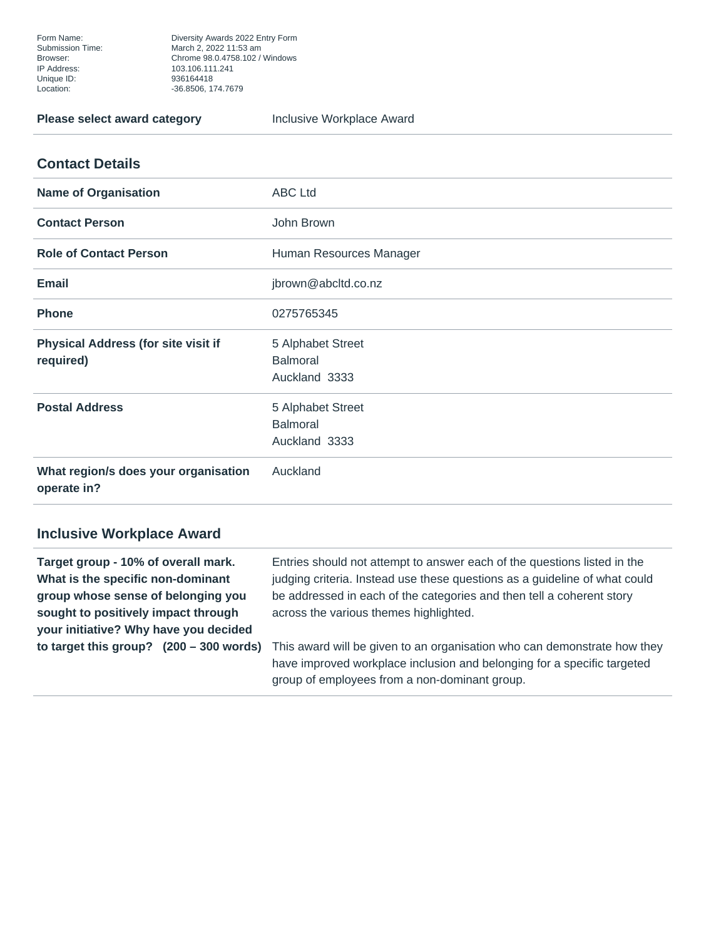Form Name: Diversity Awards 2022 Entry Form<br>
Submission Time: March 2, 2022 11:53 am March 2, 2022 11:53 am Browser: Chrome 98.0.4758.102 / Windows Unique ID: 936164418 Location: -36.8506, 174.7679

**Please select award category Figure 2016** Inclusive Workplace Award

## **Contact Details**

| <b>Name of Organisation</b>                             | <b>ABC Ltd</b>                                        |
|---------------------------------------------------------|-------------------------------------------------------|
| <b>Contact Person</b>                                   | John Brown                                            |
| <b>Role of Contact Person</b>                           | Human Resources Manager                               |
| <b>Email</b>                                            | jbrown@abcltd.co.nz                                   |
| <b>Phone</b>                                            | 0275765345                                            |
| <b>Physical Address (for site visit if</b><br>required) | 5 Alphabet Street<br><b>Balmoral</b><br>Auckland 3333 |
| <b>Postal Address</b>                                   | 5 Alphabet Street<br><b>Balmoral</b><br>Auckland 3333 |
| What region/s does your organisation<br>operate in?     | Auckland                                              |

## **Inclusive Workplace Award**

**Target group - 10% of overall mark. What is the specific non-dominant group whose sense of belonging you sought to positively impact through your initiative? Why have you decided to target this group? (200 – 300 words)** Entries should not attempt to answer each of the questions listed in the judging criteria. Instead use these questions as a guideline of what could be addressed in each of the categories and then tell a coherent story across the various themes highlighted.

This award will be given to an organisation who can demonstrate how they have improved workplace inclusion and belonging for a specific targeted group of employees from a non-dominant group.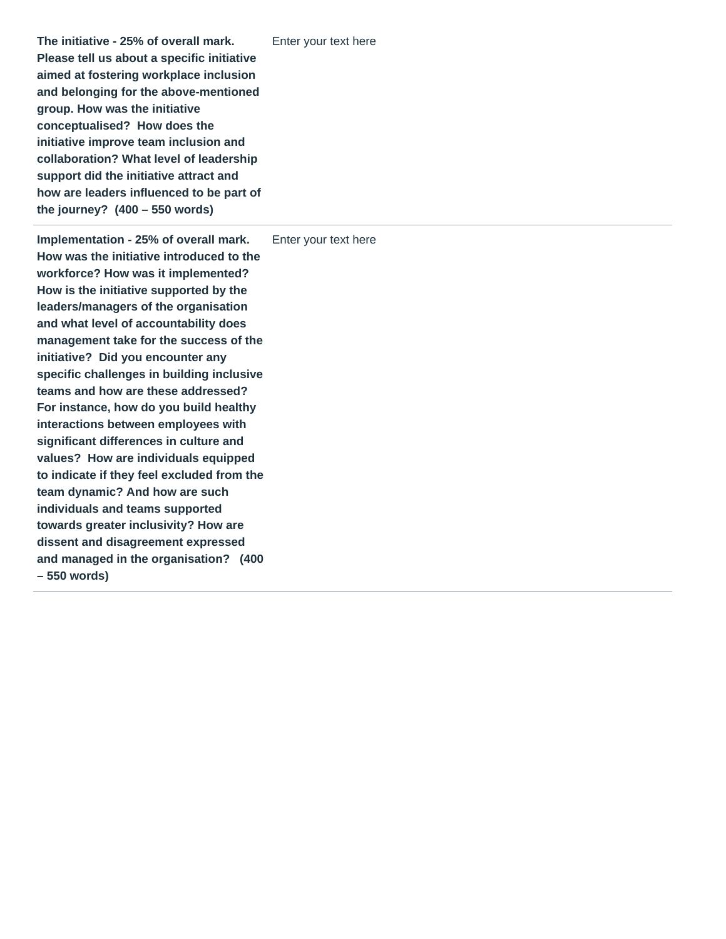**The initiative - 25% of overall mark. Please tell us about a specific initiative aimed at fostering workplace inclusion and belonging for the above-mentioned group. How was the initiative conceptualised? How does the initiative improve team inclusion and collaboration? What level of leadership support did the initiative attract and how are leaders influenced to be part of the journey? (400 – 550 words)** Enter your text here

**Implementation - 25% of overall mark. How was the initiative introduced to the workforce? How was it implemented? How is the initiative supported by the leaders/managers of the organisation and what level of accountability does management take for the success of the initiative? Did you encounter any specific challenges in building inclusive teams and how are these addressed? For instance, how do you build healthy interactions between employees with significant differences in culture and values? How are individuals equipped to indicate if they feel excluded from the team dynamic? And how are such individuals and teams supported towards greater inclusivity? How are dissent and disagreement expressed and managed in the organisation? (400 – 550 words)**

Enter your text here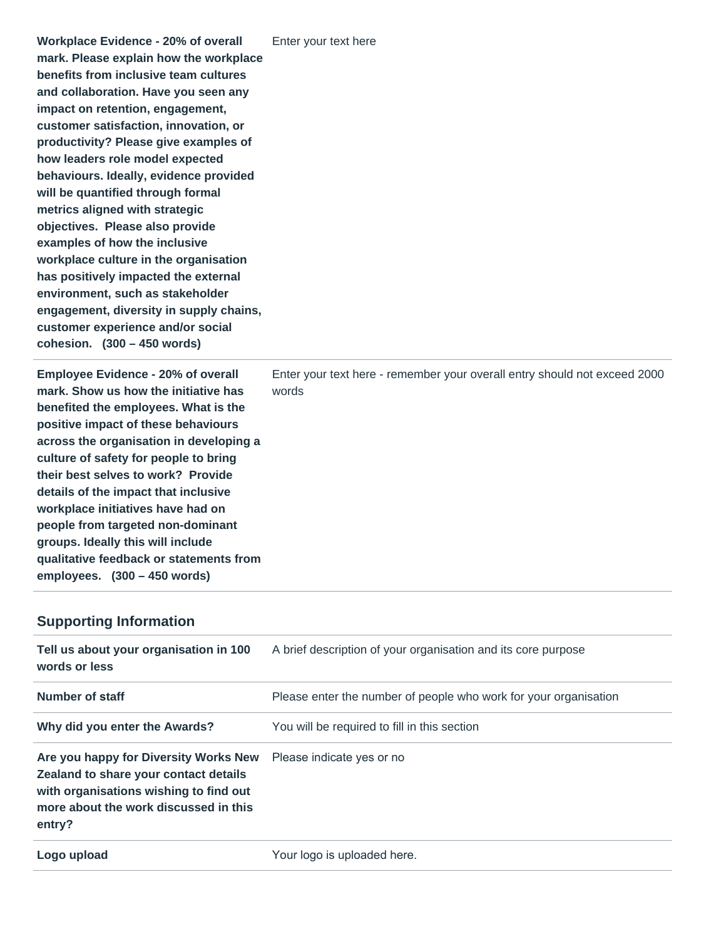| <b>Workplace Evidence - 20% of overall</b><br>mark. Please explain how the workplace<br>benefits from inclusive team cultures<br>and collaboration. Have you seen any<br>impact on retention, engagement,<br>customer satisfaction, innovation, or<br>productivity? Please give examples of<br>how leaders role model expected<br>behaviours. Ideally, evidence provided<br>will be quantified through formal<br>metrics aligned with strategic<br>objectives. Please also provide<br>examples of how the inclusive<br>workplace culture in the organisation<br>has positively impacted the external<br>environment, such as stakeholder<br>engagement, diversity in supply chains,<br>customer experience and/or social<br>cohesion. $(300 - 450$ words) | Enter your text here |
|-----------------------------------------------------------------------------------------------------------------------------------------------------------------------------------------------------------------------------------------------------------------------------------------------------------------------------------------------------------------------------------------------------------------------------------------------------------------------------------------------------------------------------------------------------------------------------------------------------------------------------------------------------------------------------------------------------------------------------------------------------------|----------------------|
|                                                                                                                                                                                                                                                                                                                                                                                                                                                                                                                                                                                                                                                                                                                                                           |                      |

| Enter your text here - remember your overall entry should not exceed 2000<br>words |
|------------------------------------------------------------------------------------|
|                                                                                    |
|                                                                                    |

## **Supporting Information**

| Tell us about your organisation in 100<br>words or less                                                                                                                     | A brief description of your organisation and its core purpose    |
|-----------------------------------------------------------------------------------------------------------------------------------------------------------------------------|------------------------------------------------------------------|
| Number of staff                                                                                                                                                             | Please enter the number of people who work for your organisation |
| Why did you enter the Awards?                                                                                                                                               | You will be required to fill in this section                     |
| Are you happy for Diversity Works New<br>Zealand to share your contact details<br>with organisations wishing to find out<br>more about the work discussed in this<br>entry? | Please indicate yes or no                                        |
| Logo upload                                                                                                                                                                 | Your logo is uploaded here.                                      |